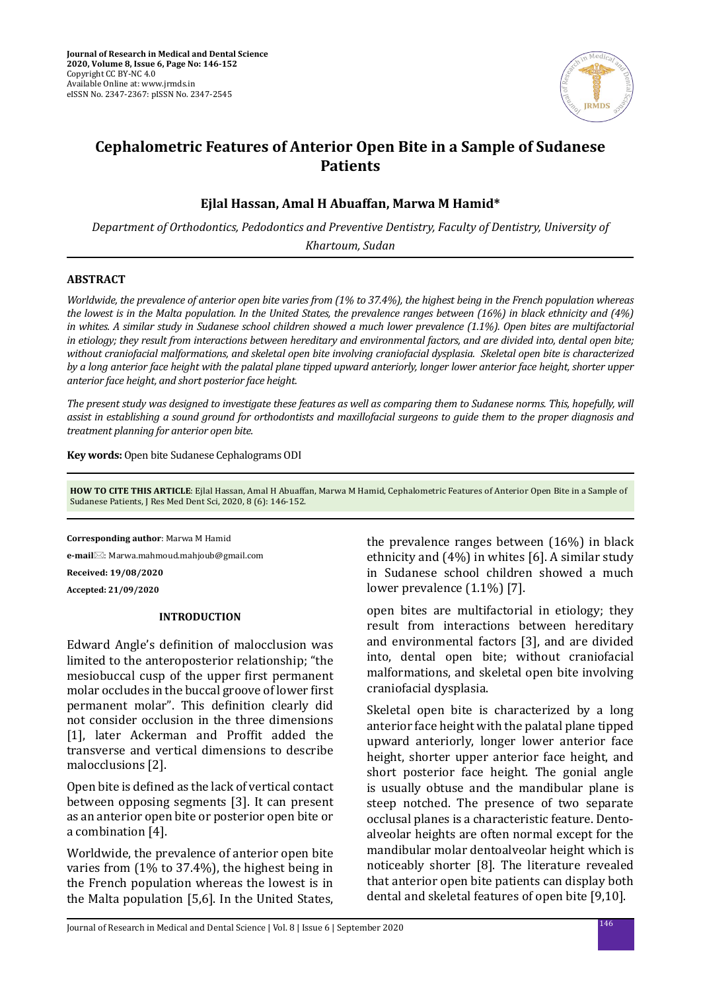

# **Cephalometric Features of Anterior Open Bite in a Sample of Sudanese Patients**

# **Ejlal Hassan, Amal H Abuaffan, Marwa M Hamid\***

*Department of Orthodontics, Pedodontics and Preventive Dentistry, Faculty of Dentistry, University of Khartoum, Sudan*

# **ABSTRACT**

*Worldwide, the prevalence of anterior open bite varies from (1% to 37.4%), the highest being in the French population whereas the lowest is in the Malta population. In the United States, the prevalence ranges between (16%) in black ethnicity and (4%) in whites. A similar study in Sudanese school children showed a much lower prevalence (1.1%). Open bites are multifactorial in etiology; they result from interactions between hereditary and environmental factors, and are divided into, dental open bite; without craniofacial malformations, and skeletal open bite involving craniofacial dysplasia. Skeletal open bite is characterized by a long anterior face height with the palatal plane tipped upward anteriorly, longer lower anterior face height, shorter upper anterior face height, and short posterior face height.* 

*The present study was designed to investigate these features as well as comparing them to Sudanese norms. This, hopefully, will assist in establishing a sound ground for orthodontists and maxillofacial surgeons to guide them to the proper diagnosis and treatment planning for anterior open bite.*

**Key words:** Open bite Sudanese Cephalograms ODI

**HOW TO CITE THIS ARTICLE**: Ejlal Hassan, Amal H Abuaffan, Marwa M Hamid, Cephalometric Features of Anterior Open Bite in a Sample of Sudanese Patients, J Res Med Dent Sci, 2020, 8 (6): 146-152.

**Corresponding author**: Marwa M Hamid

**e-mail**: Marwa.mahmoud.mahjoub@gmail.com

**Received: 19/08/2020**

**Accepted: 21/09/2020**

## **INTRODUCTION**

Edward Angle's definition of malocclusion was limited to the anteroposterior relationship; "the mesiobuccal cusp of the upper first permanent molar occludes in the buccal groove of lower first permanent molar". This definition clearly did not consider occlusion in the three dimensions [1], later Ackerman and Proffit added the transverse and vertical dimensions to describe malocclusions [2].

Open bite is defined as the lack of vertical contact between opposing segments [3]. It can present as an anterior open bite or posterior open bite or a combination [4].

Worldwide, the prevalence of anterior open bite varies from (1% to 37.4%), the highest being in the French population whereas the lowest is in the Malta population [5,6]. In the United States, the prevalence ranges between (16%) in black ethnicity and (4%) in whites [6]. A similar study in Sudanese school children showed a much lower prevalence (1.1%) [7].

open bites are multifactorial in etiology; they result from interactions between hereditary and environmental factors [3], and are divided into, dental open bite; without craniofacial malformations, and skeletal open bite involving craniofacial dysplasia.

Skeletal open bite is characterized by a long anterior face height with the palatal plane tipped upward anteriorly, longer lower anterior face height, shorter upper anterior face height, and short posterior face height. The gonial angle is usually obtuse and the mandibular plane is steep notched. The presence of two separate occlusal planes is a characteristic feature. Dentoalveolar heights are often normal except for the mandibular molar dentoalveolar height which is noticeably shorter [8]. The literature revealed that anterior open bite patients can display both dental and skeletal features of open bite [9,10].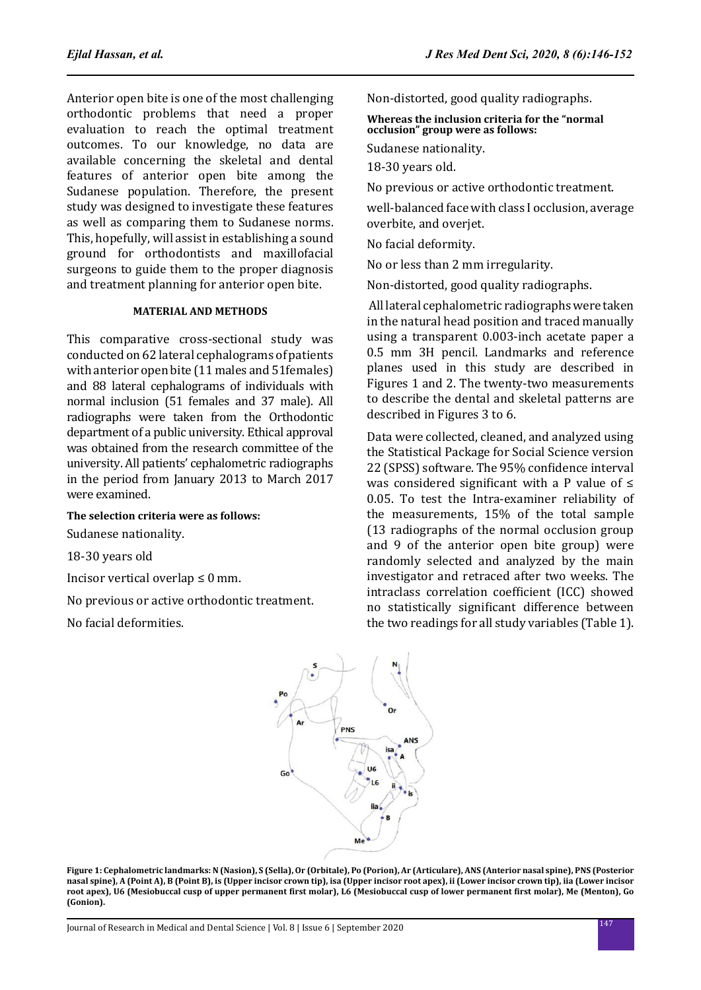Anterior open bite is one of the most challenging orthodontic problems that need a proper evaluation to reach the optimal treatment outcomes. To our knowledge, no data are available concerning the skeletal and dental features of anterior open bite among the Sudanese population. Therefore, the present study was designed to investigate these features as well as comparing them to Sudanese norms. This, hopefully, will assist in establishing a sound ground for orthodontists and maxillofacial surgeons to guide them to the proper diagnosis and treatment planning for anterior open bite.

## **MATERIAL AND METHODS**

This comparative cross-sectional study was conducted on 62 lateral cephalograms of patients with anterior open bite (11 males and 51females) and 88 lateral cephalograms of individuals with normal inclusion (51 females and 37 male). All radiographs were taken from the Orthodontic department of a public university. Ethical approval was obtained from the research committee of the university. All patients' cephalometric radiographs in the period from January 2013 to March 2017 were examined.

## **The selection criteria were as follows:**

Sudanese nationality.

18-30 years old

Incisor vertical overlap  $\leq 0$  mm.

No previous or active orthodontic treatment.

No facial deformities.

Non-distorted, good quality radiographs.

**Whereas the inclusion criteria for the "normal occlusion" group were as follows:** 

Sudanese nationality.

18-30 years old.

No previous or active orthodontic treatment.

well-balanced face with class I occlusion, average overbite, and overjet.

No facial deformity.

No or less than 2 mm irregularity.

Non-distorted, good quality radiographs.

 All lateral cephalometric radiographs were taken in the natural head position and traced manually using a transparent 0.003-inch acetate paper a 0.5 mm 3H pencil. Landmarks and reference planes used in this study are described in Figures 1 and 2. The twenty-two measurements to describe the dental and skeletal patterns are described in Figures 3 to 6.

Data were collected, cleaned, and analyzed using the Statistical Package for Social Science version 22 (SPSS) software. The 95% confidence interval was considered significant with a P value of  $\leq$ 0.05. To test the Intra-examiner reliability of the measurements, 15% of the total sample (13 radiographs of the normal occlusion group and 9 of the anterior open bite group) were randomly selected and analyzed by the main investigator and retraced after two weeks. The intraclass correlation coefficient (ICC) showed no statistically significant difference between the two readings for all study variables (Table 1).



**Figure 1: Cephalometric landmarks: N (Nasion), S (Sella), Or (Orbitale), Po (Porion), Ar (Articulare), ANS (Anterior nasal spine), PNS (Posterior nasal spine), A (Point A), B (Point B), is (Upper incisor crown tip), isa (Upper incisor root apex), ii (Lower incisor crown tip), iia (Lower incisor root apex), U6 (Mesiobuccal cusp of upper permanent first molar), L6 (Mesiobuccal cusp of lower permanent first molar), Me (Menton), Go (Gonion).**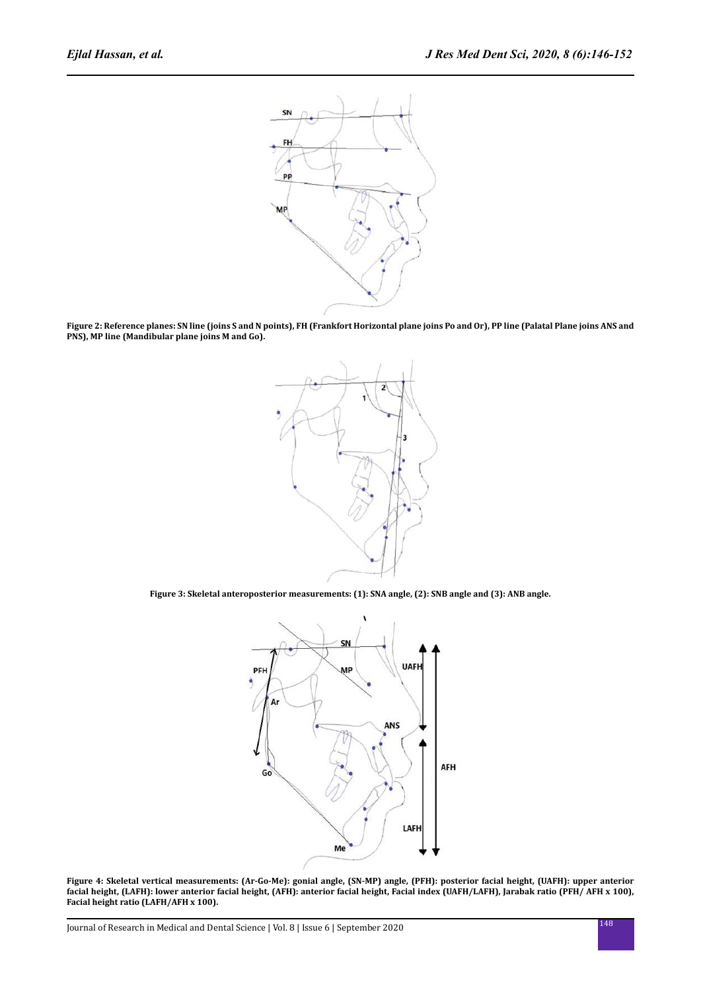

**Figure 2: Reference planes: SN line (joins S and N points), FH (Frankfort Horizontal plane joins Po and Or), PP line (Palatal Plane joins ANS and PNS), MP line (Mandibular plane joins M and Go).**



**Figure 3: Skeletal anteroposterior measurements: (1): SNA angle, (2): SNB angle and (3): ANB angle.**



**Figure 4: Skeletal vertical measurements: (Ar-Go-Me): gonial angle, (SN-MP) angle, (PFH): posterior facial height, (UAFH): upper anterior facial height, (LAFH): lower anterior facial height, (AFH): anterior facial height, Facial index (UAFH/LAFH), Jarabak ratio (PFH/ AFH x 100), Facial height ratio (LAFH/AFH x 100).**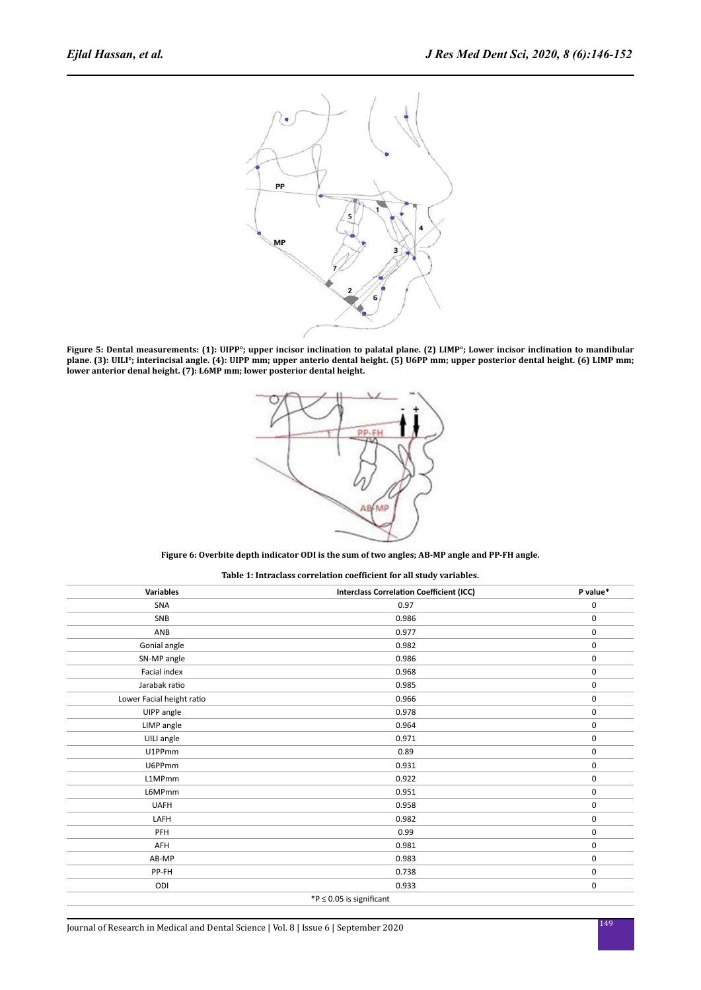

**Figure 5: Dental measurements: (1): UIPP°; upper incisor inclination to palatal plane. (2) LIMP°; Lower incisor inclination to mandibular plane. (3): UILI°; interincisal angle. (4): UIPP mm; upper anterio dental height. (5) U6PP mm; upper posterior dental height. (6) LIMP mm; lower anterior denal height. (7): L6MP mm; lower posterior dental height.**



#### **Figure 6: Overbite depth indicator ODI is the sum of two angles; AB-MP angle and PP-FH angle.**

**Table 1: Intraclass correlation coefficient for all study variables.**

| <b>Variables</b>          | <b>Interclass Correlation Coefficient (ICC)</b> | P value*    |
|---------------------------|-------------------------------------------------|-------------|
| <b>SNA</b>                | 0.97                                            | 0           |
| SNB                       | 0.986                                           | $\pmb{0}$   |
| ANB                       | 0.977                                           | $\mathbf 0$ |
| Gonial angle              | 0.982                                           | $\pmb{0}$   |
| SN-MP angle               | 0.986                                           | $\pmb{0}$   |
| Facial index              | 0.968                                           | $\pmb{0}$   |
| Jarabak ratio             | 0.985                                           | $\mathbf 0$ |
| Lower Facial height ratio | 0.966                                           | 0           |
| UIPP angle                | 0.978                                           | $\mathbf 0$ |
| LIMP angle                | 0.964                                           | 0           |
| UILI angle                | 0.971                                           | $\mathbf 0$ |
| U1PPmm                    | 0.89                                            | $\pmb{0}$   |
| U6PPmm                    | 0.931                                           | $\pmb{0}$   |
| L1MPmm                    | 0.922                                           | $\pmb{0}$   |
| L6MPmm                    | 0.951                                           | $\pmb{0}$   |
| <b>UAFH</b>               | 0.958                                           | $\pmb{0}$   |
| LAFH                      | 0.982                                           | $\pmb{0}$   |
| PFH                       | 0.99                                            | $\pmb{0}$   |
| AFH                       | 0.981                                           | 0           |
| AB-MP                     | 0.983                                           | 0           |
| PP-FH                     | 0.738                                           | 0           |
| ODI                       | 0.933                                           | 0           |
|                           | *P $\leq$ 0.05 is significant                   |             |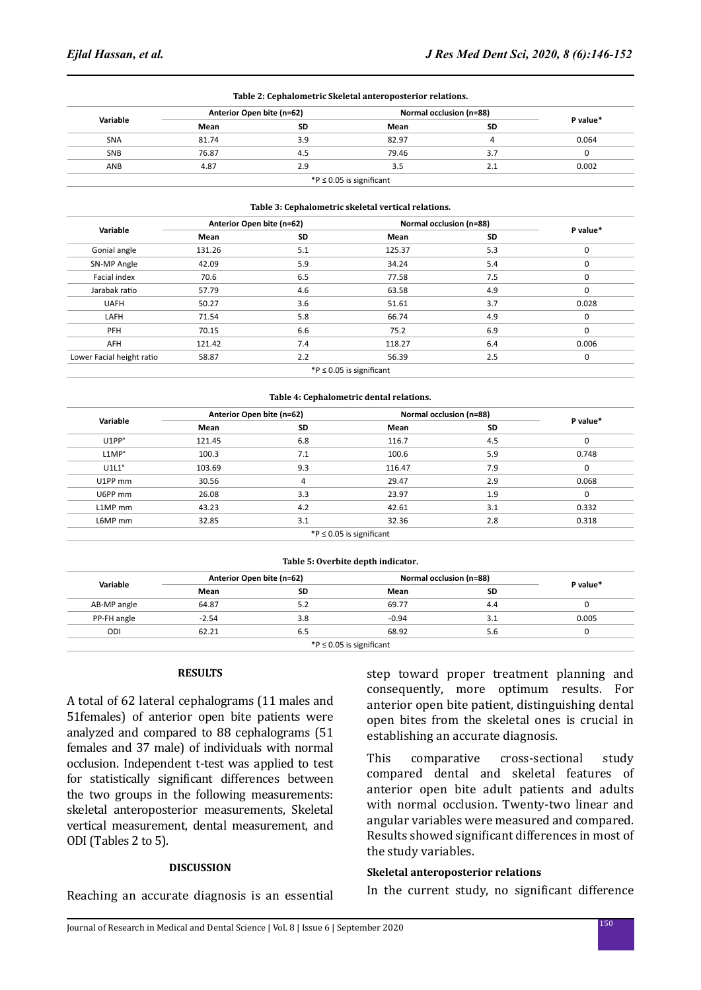|                           |                           |           | Table 2: Cephalometric Skeletal anteroposterior relations. |           |             |
|---------------------------|---------------------------|-----------|------------------------------------------------------------|-----------|-------------|
| Variable                  | Anterior Open bite (n=62) |           | Normal occlusion (n=88)                                    |           |             |
|                           | Mean                      | SD        | Mean                                                       | SD        | P value*    |
| SNA                       | 81.74                     | 3.9       | 82.97                                                      | 4         | 0.064       |
| SNB                       | 76.87                     | 4.5       | 79.46                                                      | 3.7       | 0           |
| ANB                       | 4.87                      | 2.9       | 3.5                                                        | 2.1       | 0.002       |
|                           |                           |           | *P $\leq$ 0.05 is significant                              |           |             |
|                           |                           |           | Table 3: Cephalometric skeletal vertical relations.        |           |             |
| Variable                  | Anterior Open bite (n=62) |           | Normal occlusion (n=88)                                    |           |             |
|                           | Mean                      | <b>SD</b> | Mean                                                       | <b>SD</b> | P value*    |
| Gonial angle              | 131.26                    | 5.1       | 125.37                                                     | 5.3       | 0           |
| SN-MP Angle               | 42.09                     | 5.9       | 34.24                                                      | 5.4       | $\mathbf 0$ |
| Facial index              | 70.6                      | 6.5       | 77.58                                                      | 7.5       | 0           |
| Jarabak ratio             | 57.79                     | 4.6       | 63.58                                                      | 4.9       | $\mathbf 0$ |
| <b>UAFH</b>               | 50.27                     | 3.6       | 51.61                                                      | 3.7       | 0.028       |
| LAFH                      | 71.54                     | 5.8       | 66.74                                                      | 4.9       | 0           |
| PFH                       | 70.15                     | 6.6       | 75.2                                                       | 6.9       | $\mathbf 0$ |
| AFH                       | 121.42                    | 7.4       | 118.27                                                     | 6.4       | 0.006       |
| Lower Facial height ratio | 58.87                     | 2.2       | 56.39                                                      | 2.5       | 0           |
|                           |                           |           | *P $\leq$ 0.05 is significant                              |           |             |
|                           |                           |           | Table 4: Cephalometric dental relations.                   |           |             |
|                           | Anterior Open bite (n=62) |           | Normal occlusion (n=88)                                    |           |             |
| Variable                  |                           |           |                                                            |           | P value*    |

| Variable         | (Anterior Open bite (n=62 |           | (n=88) Normal occlusion       |     | P value* |
|------------------|---------------------------|-----------|-------------------------------|-----|----------|
|                  | Mean                      | <b>SD</b> | Mean                          | SD  |          |
| U1PP°            | 121.45                    | 6.8       | 116.7                         | 4.5 | 0        |
| LMP <sup>°</sup> | 100.3                     | 7.1       | 100.6                         | 5.9 | 0.748    |
| $U1L1^{\circ}$   | 103.69                    | 9.3       | 116.47                        | 7.9 | $\Omega$ |
| U1PP mm          | 30.56                     |           | 29.47                         | 2.9 | 0.068    |
| U6PP mm          | 26.08                     | 3.3       | 23.97                         | 1.9 | $\Omega$ |
| L1MP mm          | 43.23                     | 4.2       | 42.61                         | 3.1 | 0.332    |
| L6MP mm          | 32.85                     | 3.1       | 32.36                         | 2.8 | 0.318    |
|                  |                           |           | *P $\leq$ 0.05 is significant |     |          |

| Variable    | Anterior Open bite (n=62) |     | Normal occlusion (n=88) |           |          |
|-------------|---------------------------|-----|-------------------------|-----------|----------|
|             | Mean                      | SD  | Mean                    | <b>SD</b> | P value* |
| AB-MP angle | 64.87                     | 5.2 | 69.77                   | 4.4       |          |
| PP-FH angle | $-2.54$                   | 3.8 | $-0.94$                 | 3.1       | 0.005    |
| ODI         | 62.21                     | 6.5 | 68.92                   | 5.6       |          |

## **RESULTS**

A total of 62 lateral cephalograms (11 males and 51females) of anterior open bite patients were analyzed and compared to 88 cephalograms (51 females and 37 male) of individuals with normal occlusion. Independent t-test was applied to test for statistically significant differences between the two groups in the following measurements: skeletal anteroposterior measurements, Skeletal vertical measurement, dental measurement, and ODI (Tables 2 to 5).

# **DISCUSSION**

Reaching an accurate diagnosis is an essential

step toward proper treatment planning and consequently, more optimum results. For anterior open bite patient, distinguishing dental open bites from the skeletal ones is crucial in establishing an accurate diagnosis.

This comparative cross-sectional study compared dental and skeletal features of anterior open bite adult patients and adults with normal occlusion. Twenty-two linear and angular variables were measured and compared. Results showed significant differences in most of the study variables.

# **Skeletal anteroposterior relations**

In the current study, no significant difference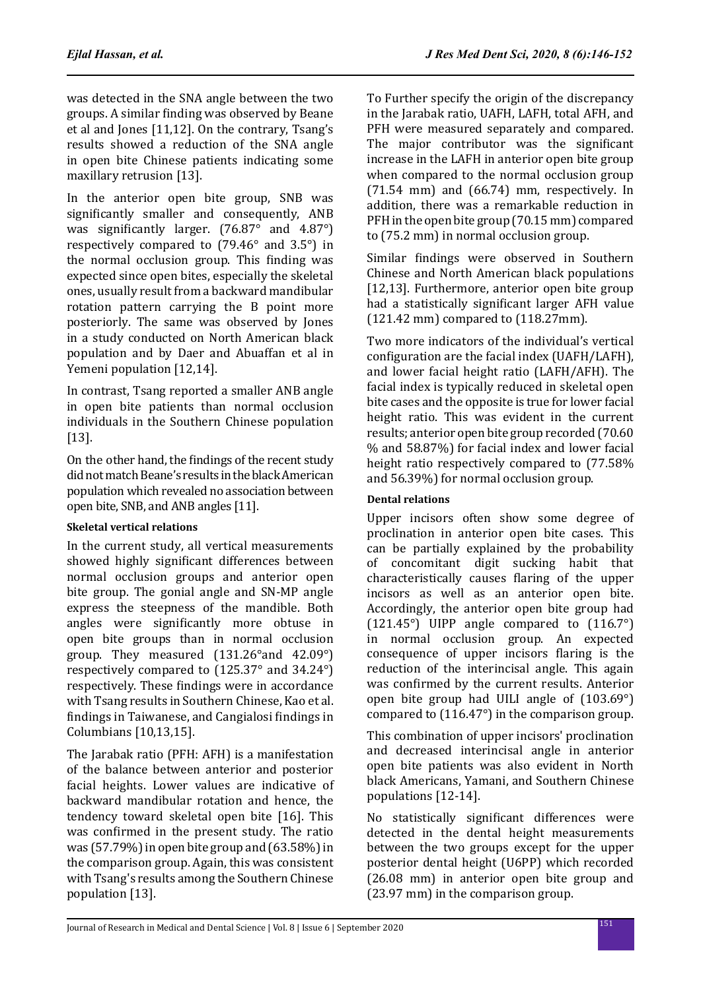was detected in the SNA angle between the two groups. A similar finding was observed by Beane et al and Jones [11,12]. On the contrary, Tsang's results showed a reduction of the SNA angle in open bite Chinese patients indicating some maxillary retrusion [13].

In the anterior open bite group, SNB was significantly smaller and consequently, ANB was significantly larger. (76.87° and 4.87°) respectively compared to (79.46° and 3.5°) in the normal occlusion group. This finding was expected since open bites, especially the skeletal ones, usually result from a backward mandibular rotation pattern carrying the B point more posteriorly. The same was observed by Jones in a study conducted on North American black population and by Daer and Abuaffan et al in Yemeni population [12,14].

In contrast, Tsang reported a smaller ANB angle in open bite patients than normal occlusion individuals in the Southern Chinese population [13].

On the other hand, the findings of the recent study did not match Beane's results in the black American population which revealed no association between open bite, SNB, and ANB angles [11].

# **Skeletal vertical relations**

In the current study, all vertical measurements showed highly significant differences between normal occlusion groups and anterior open bite group. The gonial angle and SN-MP angle express the steepness of the mandible. Both angles were significantly more obtuse in open bite groups than in normal occlusion group. They measured (131.26°and 42.09°) respectively compared to (125.37° and 34.24°) respectively. These findings were in accordance with Tsang results in Southern Chinese, Kao et al. findings in Taiwanese, and Cangialosi findings in Columbians [10,13,15].

The Jarabak ratio (PFH: AFH) is a manifestation of the balance between anterior and posterior facial heights. Lower values are indicative of backward mandibular rotation and hence, the tendency toward skeletal open bite [16]. This was confirmed in the present study. The ratio was (57.79%) in open bite group and (63.58%) in the comparison group. Again, this was consistent with Tsang's results among the Southern Chinese population [13].

To Further specify the origin of the discrepancy in the Jarabak ratio, UAFH, LAFH, total AFH, and PFH were measured separately and compared. The major contributor was the significant increase in the LAFH in anterior open bite group when compared to the normal occlusion group (71.54 mm) and (66.74) mm, respectively. In addition, there was a remarkable reduction in PFH in the open bite group (70.15 mm) compared to (75.2 mm) in normal occlusion group.

Similar findings were observed in Southern Chinese and North American black populations [12,13]. Furthermore, anterior open bite group had a statistically significant larger AFH value (121.42 mm) compared to (118.27mm).

Two more indicators of the individual's vertical configuration are the facial index (UAFH/LAFH), and lower facial height ratio (LAFH/AFH). The facial index is typically reduced in skeletal open bite cases and the opposite is true for lower facial height ratio. This was evident in the current results; anterior open bite group recorded (70.60 % and 58.87%) for facial index and lower facial height ratio respectively compared to (77.58% and 56.39%) for normal occlusion group.

# **Dental relations**

Upper incisors often show some degree of proclination in anterior open bite cases. This can be partially explained by the probability of concomitant digit sucking habit that characteristically causes flaring of the upper incisors as well as an anterior open bite. Accordingly, the anterior open bite group had  $(121.45^\circ)$  UIPP angle compared to  $(116.7^\circ)$ in normal occlusion group. An expected consequence of upper incisors flaring is the reduction of the interincisal angle. This again was confirmed by the current results. Anterior open bite group had UILI angle of (103.69°) compared to (116.47°) in the comparison group.

This combination of upper incisors' proclination and decreased interincisal angle in anterior open bite patients was also evident in North black Americans, Yamani, and Southern Chinese populations [12-14].

No statistically significant differences were detected in the dental height measurements between the two groups except for the upper posterior dental height (U6PP) which recorded (26.08 mm) in anterior open bite group and (23.97 mm) in the comparison group.